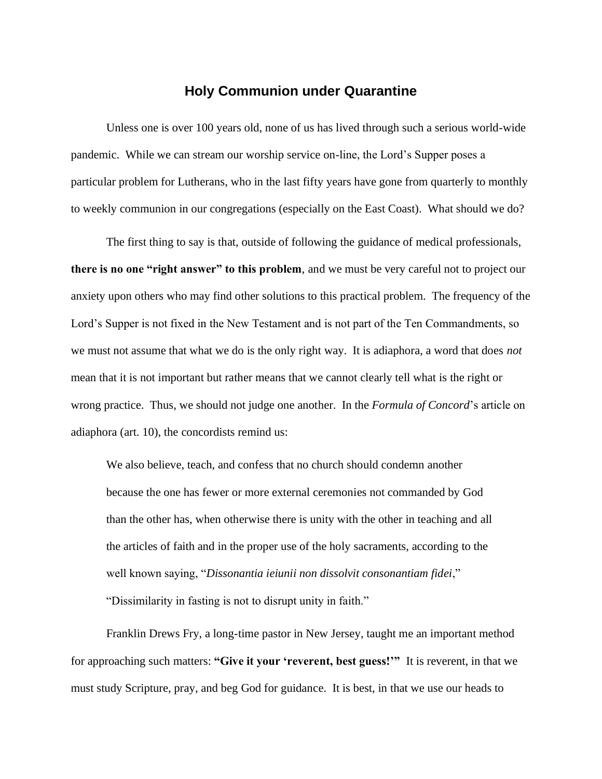## **Holy Communion under Quarantine**

Unless one is over 100 years old, none of us has lived through such a serious world-wide pandemic. While we can stream our worship service on-line, the Lord's Supper poses a particular problem for Lutherans, who in the last fifty years have gone from quarterly to monthly to weekly communion in our congregations (especially on the East Coast). What should we do?

The first thing to say is that, outside of following the guidance of medical professionals, **there is no one "right answer" to this problem**, and we must be very careful not to project our anxiety upon others who may find other solutions to this practical problem. The frequency of the Lord's Supper is not fixed in the New Testament and is not part of the Ten Commandments, so we must not assume that what we do is the only right way. It is adiaphora, a word that does *not* mean that it is not important but rather means that we cannot clearly tell what is the right or wrong practice. Thus, we should not judge one another. In the *Formula of Concord*'s article on adiaphora (art. 10), the concordists remind us:

We also believe, teach, and confess that no church should condemn another because the one has fewer or more external ceremonies not commanded by God than the other has, when otherwise there is unity with the other in teaching and all the articles of faith and in the proper use of the holy sacraments, according to the well known saying, "*Dissonantia ieiunii non dissolvit consonantiam fidei*," "Dissimilarity in fasting is not to disrupt unity in faith."

Franklin Drews Fry, a long-time pastor in New Jersey, taught me an important method for approaching such matters: **"Give it your 'reverent, best guess!'"** It is reverent, in that we must study Scripture, pray, and beg God for guidance. It is best, in that we use our heads to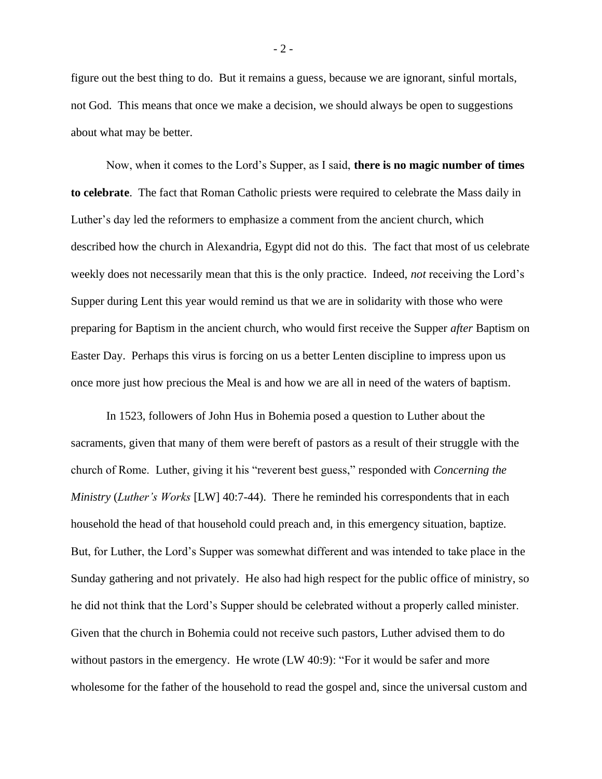figure out the best thing to do. But it remains a guess, because we are ignorant, sinful mortals, not God. This means that once we make a decision, we should always be open to suggestions about what may be better.

Now, when it comes to the Lord's Supper, as I said, **there is no magic number of times to celebrate**. The fact that Roman Catholic priests were required to celebrate the Mass daily in Luther's day led the reformers to emphasize a comment from the ancient church, which described how the church in Alexandria, Egypt did not do this. The fact that most of us celebrate weekly does not necessarily mean that this is the only practice. Indeed, *not* receiving the Lord's Supper during Lent this year would remind us that we are in solidarity with those who were preparing for Baptism in the ancient church, who would first receive the Supper *after* Baptism on Easter Day. Perhaps this virus is forcing on us a better Lenten discipline to impress upon us once more just how precious the Meal is and how we are all in need of the waters of baptism.

In 1523, followers of John Hus in Bohemia posed a question to Luther about the sacraments, given that many of them were bereft of pastors as a result of their struggle with the church of Rome. Luther, giving it his "reverent best guess," responded with *Concerning the Ministry* (*Luther's Works* [LW] 40:7-44). There he reminded his correspondents that in each household the head of that household could preach and, in this emergency situation, baptize. But, for Luther, the Lord's Supper was somewhat different and was intended to take place in the Sunday gathering and not privately. He also had high respect for the public office of ministry, so he did not think that the Lord's Supper should be celebrated without a properly called minister. Given that the church in Bohemia could not receive such pastors, Luther advised them to do without pastors in the emergency. He wrote (LW 40:9): "For it would be safer and more wholesome for the father of the household to read the gospel and, since the universal custom and

- 2 -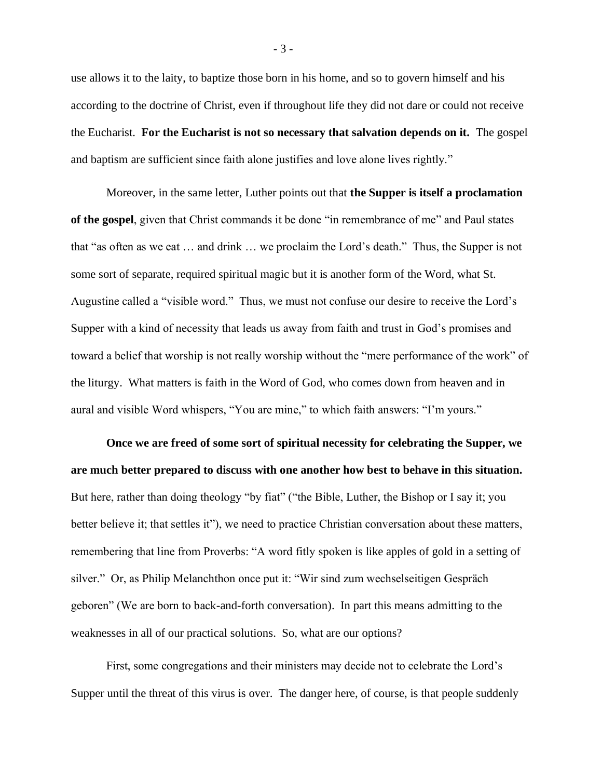use allows it to the laity, to baptize those born in his home, and so to govern himself and his according to the doctrine of Christ, even if throughout life they did not dare or could not receive the Eucharist. **For the Eucharist is not so necessary that salvation depends on it.** The gospel and baptism are sufficient since faith alone justifies and love alone lives rightly."

Moreover, in the same letter, Luther points out that **the Supper is itself a proclamation of the gospel**, given that Christ commands it be done "in remembrance of me" and Paul states that "as often as we eat … and drink … we proclaim the Lord's death." Thus, the Supper is not some sort of separate, required spiritual magic but it is another form of the Word, what St. Augustine called a "visible word." Thus, we must not confuse our desire to receive the Lord's Supper with a kind of necessity that leads us away from faith and trust in God's promises and toward a belief that worship is not really worship without the "mere performance of the work" of the liturgy. What matters is faith in the Word of God, who comes down from heaven and in aural and visible Word whispers, "You are mine," to which faith answers: "I'm yours."

**Once we are freed of some sort of spiritual necessity for celebrating the Supper, we are much better prepared to discuss with one another how best to behave in this situation.** But here, rather than doing theology "by fiat" ("the Bible, Luther, the Bishop or I say it; you better believe it; that settles it"), we need to practice Christian conversation about these matters, remembering that line from Proverbs: "A word fitly spoken is like apples of gold in a setting of silver." Or, as Philip Melanchthon once put it: "Wir sind zum wechselseitigen Gespräch geboren" (We are born to back-and-forth conversation). In part this means admitting to the weaknesses in all of our practical solutions. So, what are our options?

First, some congregations and their ministers may decide not to celebrate the Lord's Supper until the threat of this virus is over. The danger here, of course, is that people suddenly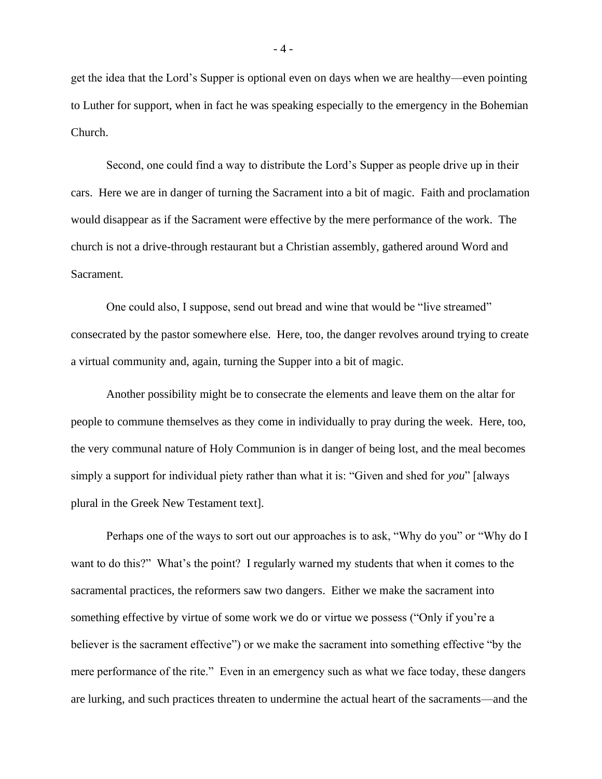get the idea that the Lord's Supper is optional even on days when we are healthy—even pointing to Luther for support, when in fact he was speaking especially to the emergency in the Bohemian Church.

Second, one could find a way to distribute the Lord's Supper as people drive up in their cars. Here we are in danger of turning the Sacrament into a bit of magic. Faith and proclamation would disappear as if the Sacrament were effective by the mere performance of the work. The church is not a drive-through restaurant but a Christian assembly, gathered around Word and Sacrament.

One could also, I suppose, send out bread and wine that would be "live streamed" consecrated by the pastor somewhere else. Here, too, the danger revolves around trying to create a virtual community and, again, turning the Supper into a bit of magic.

Another possibility might be to consecrate the elements and leave them on the altar for people to commune themselves as they come in individually to pray during the week. Here, too, the very communal nature of Holy Communion is in danger of being lost, and the meal becomes simply a support for individual piety rather than what it is: "Given and shed for *you*" [always plural in the Greek New Testament text].

Perhaps one of the ways to sort out our approaches is to ask, "Why do you" or "Why do I want to do this?" What's the point? I regularly warned my students that when it comes to the sacramental practices, the reformers saw two dangers. Either we make the sacrament into something effective by virtue of some work we do or virtue we possess ("Only if you're a believer is the sacrament effective") or we make the sacrament into something effective "by the mere performance of the rite." Even in an emergency such as what we face today, these dangers are lurking, and such practices threaten to undermine the actual heart of the sacraments—and the